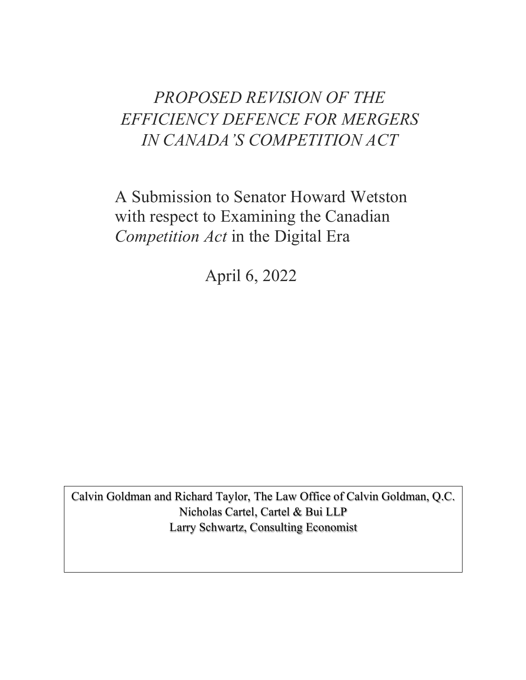# *PROPOSED REVISION OF THE EFFICIENCY DEFENCE FOR MERGERS IN CANADA'S COMPETITION ACT*

A Submission to Senator Howard Wetston with respect to Examining the Canadian *Competition Act* in the Digital Era

April 6, 2022

Calvin Goldman and Richard Taylor, The Law Office of Calvin Goldman, Q.C. Nicholas Cartel, Cartel & Bui LLP Larry Schwartz, Consulting Economist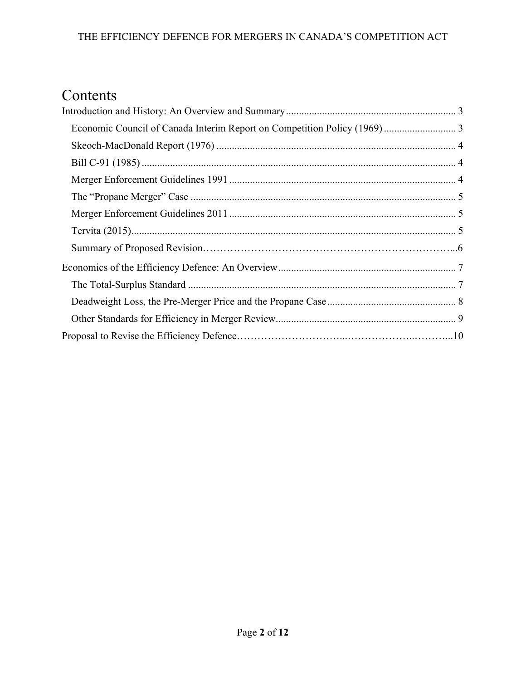# Contents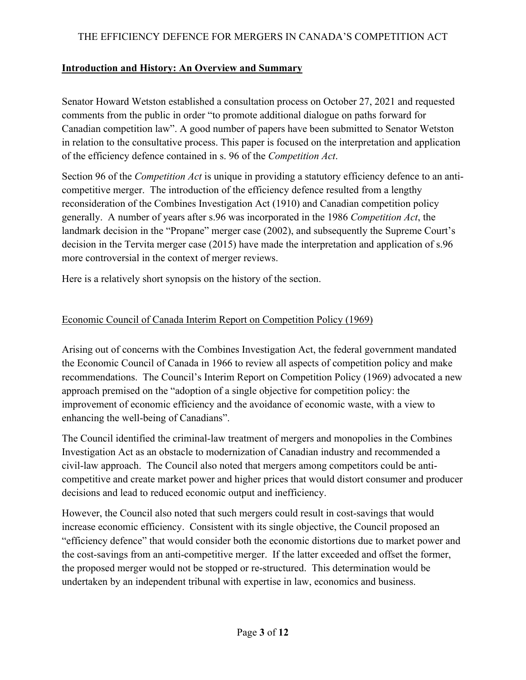# **Introduction and History: An Overview and Summary**

Senator Howard Wetston established a consultation process on October 27, 2021 and requested comments from the public in order "to promote additional dialogue on paths forward for Canadian competition law". A good number of papers have been submitted to Senator Wetston in relation to the consultative process. This paper is focused on the interpretation and application of the efficiency defence contained in s. 96 of the *Competition Act*.

Section 96 of the *Competition Act* is unique in providing a statutory efficiency defence to an anticompetitive merger. The introduction of the efficiency defence resulted from a lengthy reconsideration of the Combines Investigation Act (1910) and Canadian competition policy generally. A number of years after s.96 was incorporated in the 1986 *Competition Act*, the landmark decision in the "Propane" merger case (2002), and subsequently the Supreme Court's decision in the Tervita merger case (2015) have made the interpretation and application of s.96 more controversial in the context of merger reviews.

Here is a relatively short synopsis on the history of the section.

# Economic Council of Canada Interim Report on Competition Policy (1969)

Arising out of concerns with the Combines Investigation Act, the federal government mandated the Economic Council of Canada in 1966 to review all aspects of competition policy and make recommendations. The Council's Interim Report on Competition Policy (1969) advocated a new approach premised on the "adoption of a single objective for competition policy: the improvement of economic efficiency and the avoidance of economic waste, with a view to enhancing the well-being of Canadians".

The Council identified the criminal-law treatment of mergers and monopolies in the Combines Investigation Act as an obstacle to modernization of Canadian industry and recommended a civil-law approach. The Council also noted that mergers among competitors could be anticompetitive and create market power and higher prices that would distort consumer and producer decisions and lead to reduced economic output and inefficiency.

However, the Council also noted that such mergers could result in cost-savings that would increase economic efficiency. Consistent with its single objective, the Council proposed an "efficiency defence" that would consider both the economic distortions due to market power and the cost-savings from an anti-competitive merger. If the latter exceeded and offset the former, the proposed merger would not be stopped or re-structured. This determination would be undertaken by an independent tribunal with expertise in law, economics and business.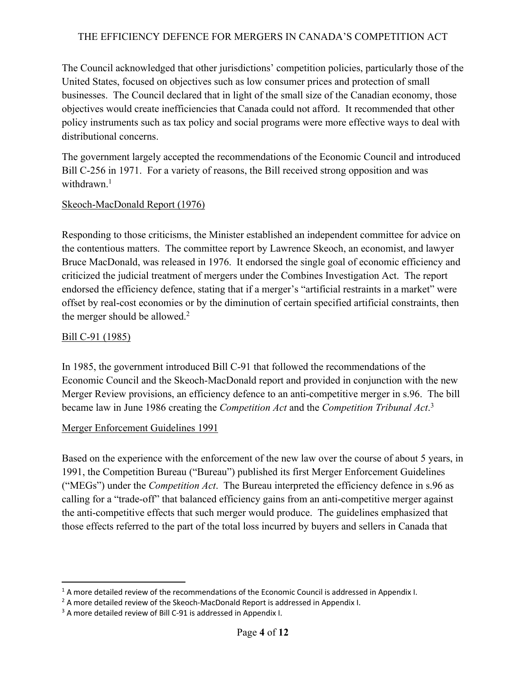The Council acknowledged that other jurisdictions' competition policies, particularly those of the United States, focused on objectives such as low consumer prices and protection of small businesses. The Council declared that in light of the small size of the Canadian economy, those objectives would create inefficiencies that Canada could not afford. It recommended that other policy instruments such as tax policy and social programs were more effective ways to deal with distributional concerns.

The government largely accepted the recommendations of the Economic Council and introduced Bill C-256 in 1971. For a variety of reasons, the Bill received strong opposition and was withdrawn.<sup>1</sup>

#### Skeoch-MacDonald Report (1976)

Responding to those criticisms, the Minister established an independent committee for advice on the contentious matters. The committee report by Lawrence Skeoch, an economist, and lawyer Bruce MacDonald, was released in 1976. It endorsed the single goal of economic efficiency and criticized the judicial treatment of mergers under the Combines Investigation Act. The report endorsed the efficiency defence, stating that if a merger's "artificial restraints in a market" were offset by real-cost economies or by the diminution of certain specified artificial constraints, then the merger should be allowed.<sup>2</sup>

#### Bill C-91 (1985)

In 1985, the government introduced Bill C-91 that followed the recommendations of the Economic Council and the Skeoch-MacDonald report and provided in conjunction with the new Merger Review provisions, an efficiency defence to an anti-competitive merger in s.96. The bill became law in June 1986 creating the *Competition Act* and the *Competition Tribunal Act*. 3

#### Merger Enforcement Guidelines 1991

Based on the experience with the enforcement of the new law over the course of about 5 years, in 1991, the Competition Bureau ("Bureau") published its first Merger Enforcement Guidelines ("MEGs") under the *Competition Act*. The Bureau interpreted the efficiency defence in s.96 as calling for a "trade-off" that balanced efficiency gains from an anti-competitive merger against the anti-competitive effects that such merger would produce. The guidelines emphasized that those effects referred to the part of the total loss incurred by buyers and sellers in Canada that

 $1$  A more detailed review of the recommendations of the Economic Council is addressed in Appendix I.

 $2$  A more detailed review of the Skeoch-MacDonald Report is addressed in Appendix I.

<sup>&</sup>lt;sup>3</sup> A more detailed review of Bill C-91 is addressed in Appendix I.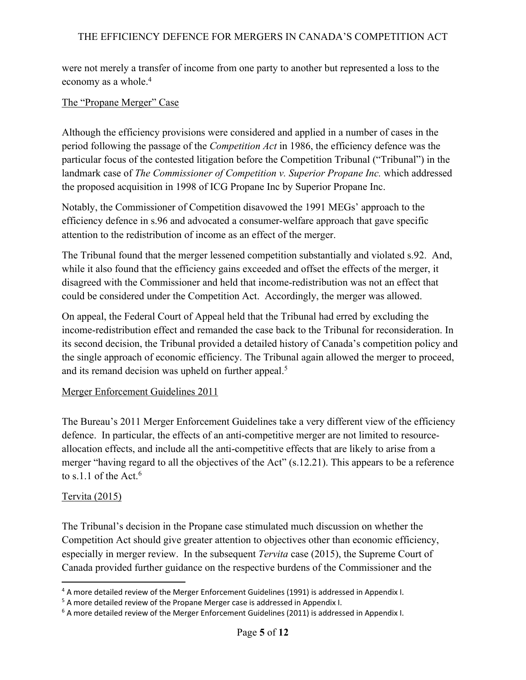were not merely a transfer of income from one party to another but represented a loss to the economy as a whole.<sup>4</sup>

#### The "Propane Merger" Case

Although the efficiency provisions were considered and applied in a number of cases in the period following the passage of the *Competition Act* in 1986, the efficiency defence was the particular focus of the contested litigation before the Competition Tribunal ("Tribunal") in the landmark case of *The Commissioner of Competition v. Superior Propane Inc.* which addressed the proposed acquisition in 1998 of ICG Propane Inc by Superior Propane Inc.

Notably, the Commissioner of Competition disavowed the 1991 MEGs' approach to the efficiency defence in s.96 and advocated a consumer-welfare approach that gave specific attention to the redistribution of income as an effect of the merger.

The Tribunal found that the merger lessened competition substantially and violated s.92. And, while it also found that the efficiency gains exceeded and offset the effects of the merger, it disagreed with the Commissioner and held that income-redistribution was not an effect that could be considered under the Competition Act. Accordingly, the merger was allowed.

On appeal, the Federal Court of Appeal held that the Tribunal had erred by excluding the income-redistribution effect and remanded the case back to the Tribunal for reconsideration. In its second decision, the Tribunal provided a detailed history of Canada's competition policy and the single approach of economic efficiency. The Tribunal again allowed the merger to proceed, and its remand decision was upheld on further appeal.<sup>5</sup>

#### Merger Enforcement Guidelines 2011

The Bureau's 2011 Merger Enforcement Guidelines take a very different view of the efficiency defence. In particular, the effects of an anti-competitive merger are not limited to resourceallocation effects, and include all the anti-competitive effects that are likely to arise from a merger "having regard to all the objectives of the Act" (s.12.21). This appears to be a reference to s.1.1 of the Act.<sup>6</sup>

#### Tervita (2015)

The Tribunal's decision in the Propane case stimulated much discussion on whether the Competition Act should give greater attention to objectives other than economic efficiency, especially in merger review. In the subsequent *Tervita* case (2015), the Supreme Court of Canada provided further guidance on the respective burdens of the Commissioner and the

<sup>4</sup> A more detailed review of the Merger Enforcement Guidelines (1991) is addressed in Appendix I.

<sup>&</sup>lt;sup>5</sup> A more detailed review of the Propane Merger case is addressed in Appendix I.

<sup>&</sup>lt;sup>6</sup> A more detailed review of the Merger Enforcement Guidelines (2011) is addressed in Appendix I.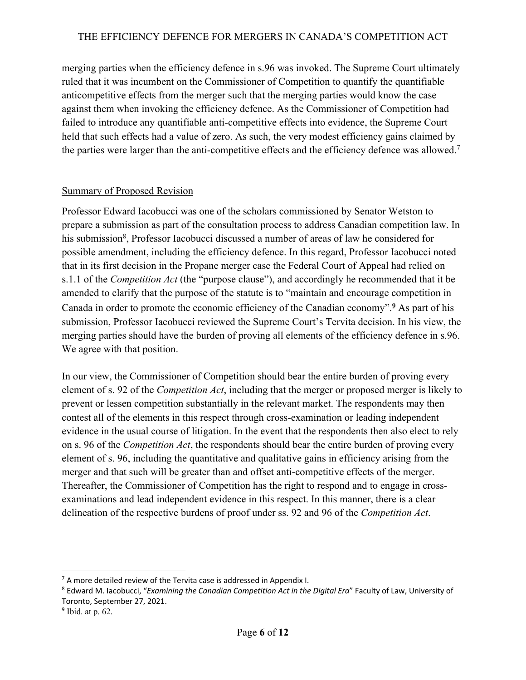merging parties when the efficiency defence in s.96 was invoked. The Supreme Court ultimately ruled that it was incumbent on the Commissioner of Competition to quantify the quantifiable anticompetitive effects from the merger such that the merging parties would know the case against them when invoking the efficiency defence. As the Commissioner of Competition had failed to introduce any quantifiable anti-competitive effects into evidence, the Supreme Court held that such effects had a value of zero. As such, the very modest efficiency gains claimed by the parties were larger than the anti-competitive effects and the efficiency defence was allowed.<sup>7</sup>

#### Summary of Proposed Revision

Professor Edward Iacobucci was one of the scholars commissioned by Senator Wetston to prepare a submission as part of the consultation process to address Canadian competition law. In his submission<sup>8</sup>, Professor Iacobucci discussed a number of areas of law he considered for possible amendment, including the efficiency defence. In this regard, Professor Iacobucci noted that in its first decision in the Propane merger case the Federal Court of Appeal had relied on s.1.1 of the *Competition Act* (the "purpose clause"), and accordingly he recommended that it be amended to clarify that the purpose of the statute is to "maintain and encourage competition in Canada in order to promote the economic efficiency of the Canadian economy".9 As part of his submission, Professor Iacobucci reviewed the Supreme Court's Tervita decision. In his view, the merging parties should have the burden of proving all elements of the efficiency defence in s.96. We agree with that position.

In our view, the Commissioner of Competition should bear the entire burden of proving every element of s. 92 of the *Competition Act*, including that the merger or proposed merger is likely to prevent or lessen competition substantially in the relevant market. The respondents may then contest all of the elements in this respect through cross-examination or leading independent evidence in the usual course of litigation. In the event that the respondents then also elect to rely on s. 96 of the *Competition Act*, the respondents should bear the entire burden of proving every element of s. 96, including the quantitative and qualitative gains in efficiency arising from the merger and that such will be greater than and offset anti-competitive effects of the merger. Thereafter, the Commissioner of Competition has the right to respond and to engage in crossexaminations and lead independent evidence in this respect. In this manner, there is a clear delineation of the respective burdens of proof under ss. 92 and 96 of the *Competition Act*.

 $7$  A more detailed review of the Tervita case is addressed in Appendix I.

<sup>8</sup> Edward M. Iacobucci, "*Examining the Canadian Competition Act in the Digital Era*" Faculty of Law, University of Toronto, September 27, 2021.

<sup>9</sup> Ibid. at p. 62.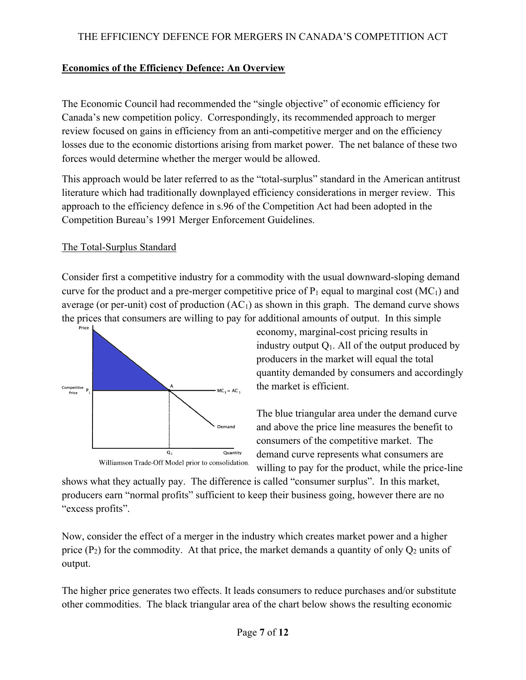# **Economics of the Efficiency Defence: An Overview**

The Economic Council had recommended the "single objective" of economic efficiency for Canada's new competition policy. Correspondingly, its recommended approach to merger review focused on gains in efficiency from an anti-competitive merger and on the efficiency losses due to the economic distortions arising from market power. The net balance of these two forces would determine whether the merger would be allowed.

This approach would be later referred to as the "total-surplus" standard in the American antitrust literature which had traditionally downplayed efficiency considerations in merger review. This approach to the efficiency defence in s.96 of the Competition Act had been adopted in the Competition Bureau's 1991 Merger Enforcement Guidelines.

# The Total-Surplus Standard

Consider first a competitive industry for a commodity with the usual downward-sloping demand curve for the product and a pre-merger competitive price of  $P_1$  equal to marginal cost (MC<sub>1</sub>) and average (or per-unit) cost of production  $(AC<sub>1</sub>)$  as shown in this graph. The demand curve shows the prices that consumers are willing to pay for additional amounts of output. In this simple Price I



Williamson Trade-Off Model prior to consolidation.

economy, marginal-cost pricing results in industry output  $Q_1$ . All of the output produced by producers in the market will equal the total quantity demanded by consumers and accordingly the market is efficient.

The blue triangular area under the demand curve and above the price line measures the benefit to consumers of the competitive market. The demand curve represents what consumers are willing to pay for the product, while the price-line

shows what they actually pay. The difference is called "consumer surplus". In this market, producers earn "normal profits" sufficient to keep their business going, however there are no "excess profits".

Now, consider the effect of a merger in the industry which creates market power and a higher price  $(P_2)$  for the commodity. At that price, the market demands a quantity of only  $Q_2$  units of output.

The higher price generates two effects. It leads consumers to reduce purchases and/or substitute other commodities. The black triangular area of the chart below shows the resulting economic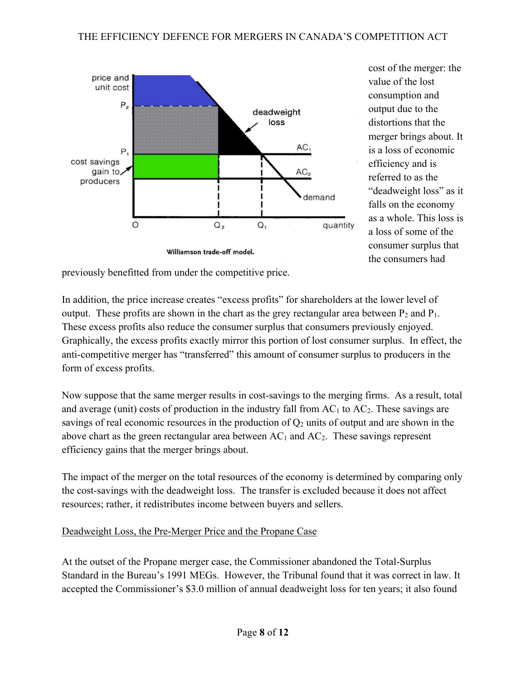

cost of the merger: the value of the lost consumption and output due to the distortions that the merger brings about. It is a loss of economic efficiency and is referred to as the "deadweight loss" as it falls on the economy as a whole. This loss is a loss of some of the consumer surplus that the consumers had

previously benefitted from under the competitive price.

In addition, the price increase creates "excess profits" for shareholders at the lower level of output. These profits are shown in the chart as the grey rectangular area between  $P_2$  and  $P_1$ . These excess profits also reduce the consumer surplus that consumers previously enjoyed. Graphically, the excess profits exactly mirror this portion of lost consumer surplus. In effect, the anti-competitive merger has "transferred" this amount of consumer surplus to producers in the form of excess profits.

Now suppose that the same merger results in cost-savings to the merging firms. As a result, total and average (unit) costs of production in the industry fall from  $AC_1$  to  $AC_2$ . These savings are savings of real economic resources in the production of  $Q_2$  units of output and are shown in the above chart as the green rectangular area between  $AC_1$  and  $AC_2$ . These savings represent efficiency gains that the merger brings about.

The impact of the merger on the total resources of the economy is determined by comparing only the cost-savings with the deadweight loss. The transfer is excluded because it does not affect resources; rather, it redistributes income between buyers and sellers.

#### Deadweight Loss, the Pre-Merger Price and the Propane Case

At the outset of the Propane merger case, the Commissioner abandoned the Total-Surplus Standard in the Bureau's 1991 MEGs. However, the Tribunal found that it was correct in law. It accepted the Commissioner's \$3.0 million of annual deadweight loss for ten years; it also found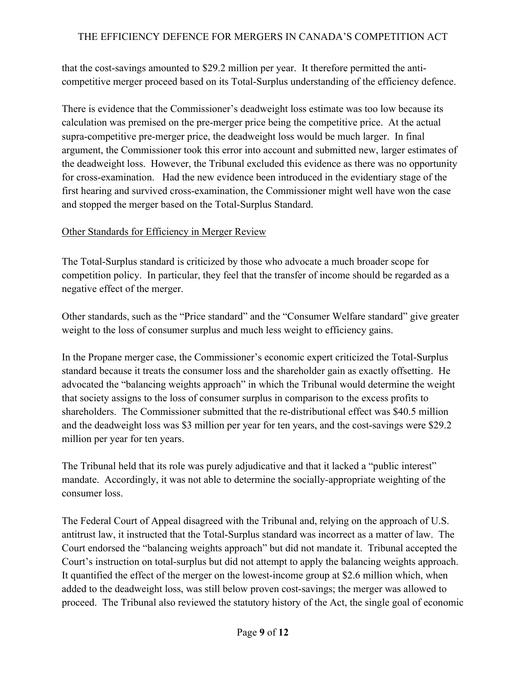that the cost-savings amounted to \$29.2 million per year. It therefore permitted the anticompetitive merger proceed based on its Total-Surplus understanding of the efficiency defence.

There is evidence that the Commissioner's deadweight loss estimate was too low because its calculation was premised on the pre-merger price being the competitive price. At the actual supra-competitive pre-merger price, the deadweight loss would be much larger. In final argument, the Commissioner took this error into account and submitted new, larger estimates of the deadweight loss. However, the Tribunal excluded this evidence as there was no opportunity for cross-examination. Had the new evidence been introduced in the evidentiary stage of the first hearing and survived cross-examination, the Commissioner might well have won the case and stopped the merger based on the Total-Surplus Standard.

# Other Standards for Efficiency in Merger Review

The Total-Surplus standard is criticized by those who advocate a much broader scope for competition policy. In particular, they feel that the transfer of income should be regarded as a negative effect of the merger.

Other standards, such as the "Price standard" and the "Consumer Welfare standard" give greater weight to the loss of consumer surplus and much less weight to efficiency gains.

In the Propane merger case, the Commissioner's economic expert criticized the Total-Surplus standard because it treats the consumer loss and the shareholder gain as exactly offsetting. He advocated the "balancing weights approach" in which the Tribunal would determine the weight that society assigns to the loss of consumer surplus in comparison to the excess profits to shareholders. The Commissioner submitted that the re-distributional effect was \$40.5 million and the deadweight loss was \$3 million per year for ten years, and the cost-savings were \$29.2 million per year for ten years.

The Tribunal held that its role was purely adjudicative and that it lacked a "public interest" mandate. Accordingly, it was not able to determine the socially-appropriate weighting of the consumer loss.

The Federal Court of Appeal disagreed with the Tribunal and, relying on the approach of U.S. antitrust law, it instructed that the Total-Surplus standard was incorrect as a matter of law. The Court endorsed the "balancing weights approach" but did not mandate it. Tribunal accepted the Court's instruction on total-surplus but did not attempt to apply the balancing weights approach. It quantified the effect of the merger on the lowest-income group at \$2.6 million which, when added to the deadweight loss, was still below proven cost-savings; the merger was allowed to proceed. The Tribunal also reviewed the statutory history of the Act, the single goal of economic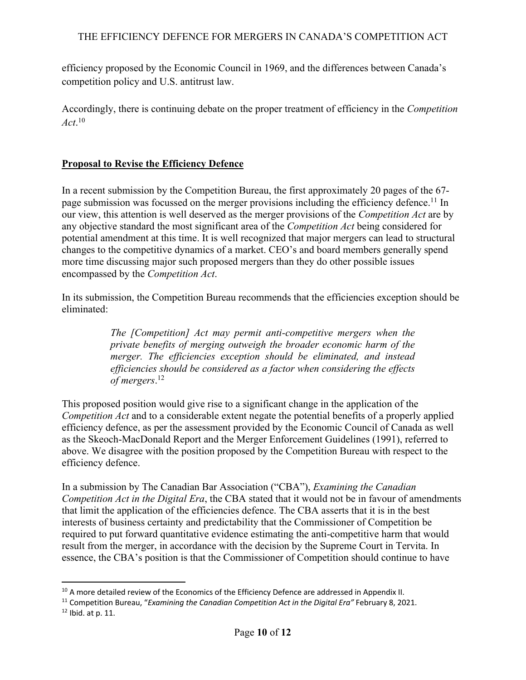efficiency proposed by the Economic Council in 1969, and the differences between Canada's competition policy and U.S. antitrust law.

Accordingly, there is continuing debate on the proper treatment of efficiency in the *Competition Act*. 10

# **Proposal to Revise the Efficiency Defence**

In a recent submission by the Competition Bureau, the first approximately 20 pages of the 67 page submission was focussed on the merger provisions including the efficiency defence.<sup>11</sup> In our view, this attention is well deserved as the merger provisions of the *Competition Act* are by any objective standard the most significant area of the *Competition Act* being considered for potential amendment at this time. It is well recognized that major mergers can lead to structural changes to the competitive dynamics of a market. CEO's and board members generally spend more time discussing major such proposed mergers than they do other possible issues encompassed by the *Competition Act*.

In its submission, the Competition Bureau recommends that the efficiencies exception should be eliminated:

> *The [Competition] Act may permit anti-competitive mergers when the private benefits of merging outweigh the broader economic harm of the merger. The efficiencies exception should be eliminated, and instead efficiencies should be considered as a factor when considering the effects of mergers*. 12

This proposed position would give rise to a significant change in the application of the *Competition Act* and to a considerable extent negate the potential benefits of a properly applied efficiency defence, as per the assessment provided by the Economic Council of Canada as well as the Skeoch-MacDonald Report and the Merger Enforcement Guidelines (1991), referred to above. We disagree with the position proposed by the Competition Bureau with respect to the efficiency defence.

In a submission by The Canadian Bar Association ("CBA"), *Examining the Canadian Competition Act in the Digital Era*, the CBA stated that it would not be in favour of amendments that limit the application of the efficiencies defence. The CBA asserts that it is in the best interests of business certainty and predictability that the Commissioner of Competition be required to put forward quantitative evidence estimating the anti-competitive harm that would result from the merger, in accordance with the decision by the Supreme Court in Tervita. In essence, the CBA's position is that the Commissioner of Competition should continue to have

<sup>&</sup>lt;sup>10</sup> A more detailed review of the Economics of the Efficiency Defence are addressed in Appendix II.

<sup>11</sup> Competition Bureau, "*Examining the Canadian Competition Act in the Digital Era"* February 8, 2021.

<sup>12</sup> Ibid. at p. 11.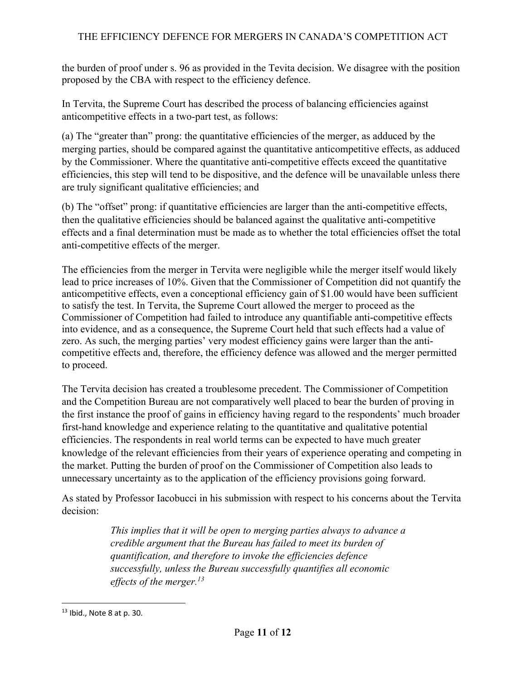the burden of proof under s. 96 as provided in the Tevita decision. We disagree with the position proposed by the CBA with respect to the efficiency defence.

In Tervita, the Supreme Court has described the process of balancing efficiencies against anticompetitive effects in a two-part test, as follows:

(a) The "greater than" prong: the quantitative efficiencies of the merger, as adduced by the merging parties, should be compared against the quantitative anticompetitive effects, as adduced by the Commissioner. Where the quantitative anti-competitive effects exceed the quantitative efficiencies, this step will tend to be dispositive, and the defence will be unavailable unless there are truly significant qualitative efficiencies; and

(b) The "offset" prong: if quantitative efficiencies are larger than the anti-competitive effects, then the qualitative efficiencies should be balanced against the qualitative anti-competitive effects and a final determination must be made as to whether the total efficiencies offset the total anti-competitive effects of the merger.

The efficiencies from the merger in Tervita were negligible while the merger itself would likely lead to price increases of 10%. Given that the Commissioner of Competition did not quantify the anticompetitive effects, even a conceptional efficiency gain of \$1.00 would have been sufficient to satisfy the test. In Tervita, the Supreme Court allowed the merger to proceed as the Commissioner of Competition had failed to introduce any quantifiable anti-competitive effects into evidence, and as a consequence, the Supreme Court held that such effects had a value of zero. As such, the merging parties' very modest efficiency gains were larger than the anticompetitive effects and, therefore, the efficiency defence was allowed and the merger permitted to proceed.

The Tervita decision has created a troublesome precedent. The Commissioner of Competition and the Competition Bureau are not comparatively well placed to bear the burden of proving in the first instance the proof of gains in efficiency having regard to the respondents' much broader first-hand knowledge and experience relating to the quantitative and qualitative potential efficiencies. The respondents in real world terms can be expected to have much greater knowledge of the relevant efficiencies from their years of experience operating and competing in the market. Putting the burden of proof on the Commissioner of Competition also leads to unnecessary uncertainty as to the application of the efficiency provisions going forward.

As stated by Professor Iacobucci in his submission with respect to his concerns about the Tervita decision:

> *This implies that it will be open to merging parties always to advance a credible argument that the Bureau has failed to meet its burden of quantification, and therefore to invoke the efficiencies defence successfully, unless the Bureau successfully quantifies all economic effects of the merger. 13*

<sup>13</sup> Ibid., Note 8 at p. 30.